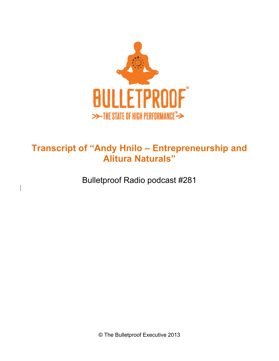

## **Transcript of "Andy Hnilo – Entrepreneurship and Alitura Naturals"**

Bulletproof Radio podcast #281

© The Bulletproof Executive 2013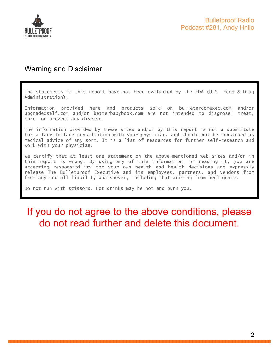

### Warning and Disclaimer

The statements in this report have not been evaluated by the FDA (U.S. Food & Drug Administration).

Information provided here and products sold on bulletproofexec.com and/or upgradedself.com and/or betterbabybook.com are not intended to diagnose, treat, cure, or prevent any disease.

The information provided by these sites and/or by this report is not a substitute for a face-to-face consultation with your physician, and should not be construed as medical advice of any sort. It is a list of resources for further self-research and work with your physician.

We certify that at least one statement on the above-mentioned web sites and/or in this report is wrong. By using any of this information, or reading it, you are accepting responsibility for your own health and health decisions and expressly release The Bulletproof Executive and its employees, partners, and vendors from from any and all liability whatsoever, including that arising from negligence.

Do not run with scissors. Hot drinks may be hot and burn you.

# If you do not agree to the above conditions, please do not read further and delete this document.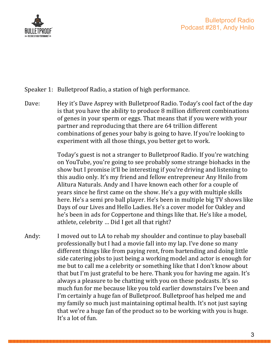

- Speaker 1: Bulletproof Radio, a station of high performance.
- Dave: Hey it's Dave Asprey with Bulletproof Radio. Today's cool fact of the day is that you have the ability to produce 8 million different combinations of genes in your sperm or eggs. That means that if you were with your partner and reproducing that there are 64 trillion different combinations of genes your baby is going to have. If you're looking to experiment with all those things, you better get to work.

Today's guest is not a stranger to Bulletproof Radio. If you're watching on YouTube, you're going to see probably some strange biohacks in the show but I promise it'll be interesting if you're driving and listening to this audio only. It's my friend and fellow entrepreneur Any Hnilo from Alitura Naturals. Andy and I have known each other for a couple of years since he first came on the show. He's a guy with multiple skills here. He's a semi pro ball player. He's been in multiple big TV shows like Days of our Lives and Hello Ladies. He's a cover model for Oakley and he's been in ads for Coppertone and things like that. He's like a model, athlete, celebrity ... Did I get all that right?

Andy: I moved out to LA to rehab my shoulder and continue to play baseball professionally but I had a movie fall into my lap. I've done so many different things like from paying rent, from bartending and doing little side catering jobs to just being a working model and actor is enough for me but to call me a celebrity or something like that I don't know about that but I'm just grateful to be here. Thank you for having me again. It's always a pleasure to be chatting with you on these podcasts. It's so much fun for me because like you told earlier downstairs I've been and I'm certainly a huge fan of Bulletproof. Bulletproof has helped me and my family so much just maintaining optimal health. It's not just saying that we're a huge fan of the product so to be working with you is huge. It's a lot of fun.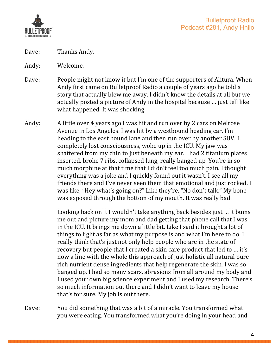

- Dave: Thanks Andy.
- Andy: Welcome.
- Dave: People might not know it but I'm one of the supporters of Alitura. When Andy first came on Bulletproof Radio a couple of years ago he told a story that actually blew me away. I didn't know the details at all but we actually posted a picture of Andy in the hospital because ... just tell like what happened. It was shocking.
- Andy: A little over 4 years ago I was hit and run over by 2 cars on Melrose Avenue in Los Angeles. I was hit by a westbound heading car. I'm heading to the east bound lane and then run over by another SUV. I completely lost consciousness, woke up in the ICU. My jaw was shattered from my chin to just beneath my ear. I had 2 titanium plates inserted, broke 7 ribs, collapsed lung, really banged up. You're in so much morphine at that time that I didn't feel too much pain. I thought everything was a joke and I quickly found out it wasn't. I see all my friends there and I've never seen them that emotional and just rocked. I was like, "Hey what's going on?" Like they're, "No don't talk." My bone was exposed through the bottom of my mouth. It was really bad.

Looking back on it I wouldn't take anything back besides just ... it bums me out and picture my mom and dad getting that phone call that I was in the ICU. It brings me down a little bit. Like I said it brought a lot of things to light as far as what my purpose is and what I'm here to do. I really think that's just not only help people who are in the state of recovery but people that I created a skin care product that led to ... it's now a line with the whole this approach of just holistic all natural pure rich nutrient dense ingredients that help regenerate the skin. I was so banged up, I had so many scars, abrasions from all around my body and I used your own big science experiment and I used my research. There's so much information out there and I didn't want to leave my house that's for sure. My job is out there.

Dave: You did something that was a bit of a miracle. You transformed what you were eating. You transformed what you're doing in your head and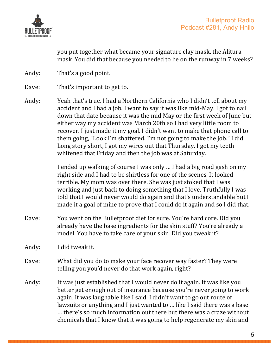

you put together what became your signature clay mask, the Alitura mask. You did that because you needed to be on the runway in 7 weeks?

- Andy: That's a good point.
- Dave: That's important to get to.
- Andy: Yeah that's true. I had a Northern California who I didn't tell about my accident and I had a job. I want to say it was like mid-May. I got to nail down that date because it was the mid May or the first week of June but either way my accident was March 20th so I had very little room to recover. I just made it my goal. I didn't want to make that phone call to them going, "Look I'm shattered. I'm not going to make the job." I did. Long story short, I got my wires out that Thursday. I got my teeth whitened that Friday and then the job was at Saturday.

I ended up walking of course I was only ... I had a big road gash on my right side and I had to be shirtless for one of the scenes. It looked terrible. My mom was over there. She was just stoked that I was working and just back to doing something that I love. Truthfully I was told that I would never would do again and that's understandable but I made it a goal of mine to prove that I could do it again and so I did that.

Dave: You went on the Bulletproof diet for sure. You're hard core. Did you already have the base ingredients for the skin stuff? You're already a model. You have to take care of your skin. Did you tweak it?

Andy: I did tweak it.

- Dave: What did you do to make your face recover way faster? They were telling you you'd never do that work again, right?
- Andy: It was just established that I would never do it again. It was like you better get enough out of insurance because you're never going to work again. It was laughable like I said. I didn't want to go out route of lawsuits or anything and I just wanted to ... like I said there was a base ... there's so much information out there but there was a craze without chemicals that I knew that it was going to help regenerate my skin and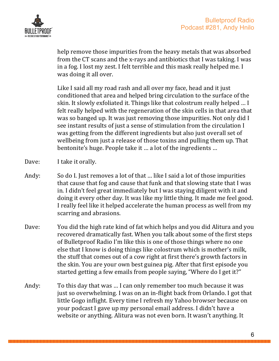

help remove those impurities from the heavy metals that was absorbed from the CT scans and the x-rays and antibiotics that I was taking. I was in a fog. I lost my zest. I felt terrible and this mask really helped me. I was doing it all over.

Like I said all my road rash and all over my face, head and it just conditioned that area and helped bring circulation to the surface of the skin. It slowly exfoliated it. Things like that colostrum really helped ... I felt really helped with the regeneration of the skin cells in that area that was so banged up. It was just removing those impurities. Not only did I see instant results of just a sense of stimulation from the circulation I was getting from the different ingredients but also just overall set of wellbeing from just a release of those toxins and pulling them up. That bentonite's huge. People take it ... a lot of the ingredients ...

- Dave: I take it orally.
- Andy: So do I. Just removes a lot of that ... like I said a lot of those impurities that cause that fog and cause that funk and that slowing state that I was in. I didn't feel great immediately but I was staying diligent with it and doing it every other day. It was like my little thing. It made me feel good. I really feel like it helped accelerate the human process as well from my scarring and abrasions.
- Dave: You did the high rate kind of fat which helps and you did Alitura and you recovered dramatically fast. When you talk about some of the first steps of Bulletproof Radio I'm like this is one of those things where no one else that I know is doing things like colostrum which is mother's milk, the stuff that comes out of a cow right at first there's growth factors in the skin. You are your own best guinea pig. After that first episode you started getting a few emails from people saying, "Where do I get it?"
- Andy: To this day that was ... I can only remember too much because it was just so overwhelming. I was on an in-flight back from Orlando. I got that little Gogo inflight. Every time I refresh my Yahoo browser because on your podcast I gave up my personal email address. I didn't have a website or anything. Alitura was not even born. It wasn't anything. It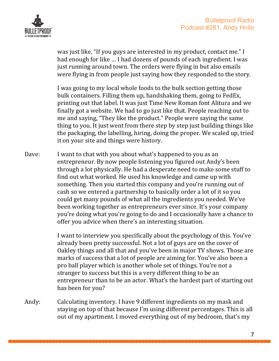

was just like, "If you guys are interested in my product, contact me." I had enough for like ... I had dozens of pounds of each ingredient. I was just running around town. The orders were flying in but also emails were flying in from people just saying how they responded to the story.

I was going to my local whole foods to the bulk section getting those bulk containers. Filling them up, handshaking them, going to FedEx, printing out that label. It was just Time New Roman font Alitura and we finally got a website. We had to go just like that. People reaching out to me and saying, "They like the product." People were saying the same thing to you. It just went from there step by step just building things like the packaging, the labelling, hiring, doing the proper. We scaled up, tried it on your site and things were history.

Dave: I want to chat with you about what's happened to you as an entrepreneur. By now people listening you figured out Andy's been through a lot physically. He had a desperate need to make some stuff to find out what worked. He used his knowledge and came up with something. Then you started this company and you're running out of cash so we entered a partnership to basically order a lot of it so you could get many pounds of what all the ingredients you needed. We've been working together as entrepreneurs ever since. It's your company you're doing what you're going to do and I occasionally have a chance to offer you advice when there's an interesting situation.

> I want to interview you specifically about the psychology of this. You've already been pretty successful. Not a lot of guys are on the cover of Oakley things and all that and you've been in major TV shows. Those are marks of success that a lot of people are aiming for. You've also been a pro ball player which is another whole set of things. You're not a stranger to success but this is a very different thing to be an entrepreneur than to be an actor. What's the hardest part of starting out has been for you?

Andy: Calculating inventory. I have 9 different ingredients on my mask and staying on top of that because I'm using different percentages. This is all out of my apartment. I moved everything out of my bedroom, that's my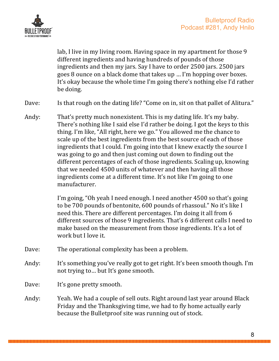

lab, I live in my living room. Having space in my apartment for those 9 different ingredients and having hundreds of pounds of those ingredients and then my jars. Say I have to order 2500 jars. 2500 jars. goes 8 ounce on a black dome that takes up ... I'm hopping over boxes. It's okay because the whole time I'm going there's nothing else I'd rather be doing.

- Dave: Is that rough on the dating life? "Come on in, sit on that pallet of Alitura."
- Andy: That's pretty much nonexistent. This is my dating life. It's my baby. There's nothing like I said else I'd rather be doing. I got the keys to this thing. I'm like, "All right, here we go." You allowed me the chance to scale up of the best ingredients from the best source of each of those ingredients that I could. I'm going into that I knew exactly the source I was going to go and then just coming out down to finding out the different percentages of each of those ingredients. Scaling up, knowing that we needed 4500 units of whatever and then having all those ingredients come at a different time. It's not like I'm going to one manufacturer.

I'm going, "Oh yeah I need enough. I need another 4500 so that's going to be 700 pounds of bentonite, 600 pounds of rhassoul." No it's like I need this. There are different percentages. I'm doing it all from 6 different sources of those 9 ingredients. That's 6 different calls I need to make based on the measurement from those ingredients. It's a lot of work but I love it.

- Dave: The operational complexity has been a problem.
- Andy: It's something you've really got to get right. It's been smooth though. I'm not trying to... but It's gone smooth.
- Dave: It's gone pretty smooth.
- Andy: Yeah. We had a couple of sell outs. Right around last year around Black Friday and the Thanksgiving time, we had to fly home actually early because the Bulletproof site was running out of stock.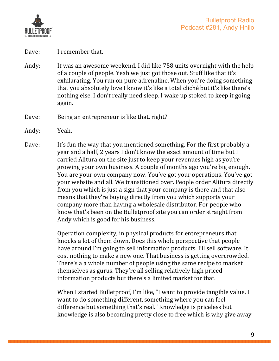

#### Dave: I remember that.

- Andy: It was an awesome weekend. I did like 758 units overnight with the help of a couple of people. Yeah we just got those out. Stuff like that it's exhilarating. You run on pure adrenaline. When you're doing something that you absolutely love I know it's like a total cliché but it's like there's nothing else. I don't really need sleep. I wake up stoked to keep it going again.
- Dave: Being an entrepreneur is like that, right?
- Andy: Yeah.
- Dave: It's fun the way that you mentioned something. For the first probably a year and a half, 2 years I don't know the exact amount of time but I carried Alitura on the site just to keep your revenues high as you're growing your own business. A couple of months ago you're big enough. You are your own company now. You've got your operations. You've got your website and all. We transitioned over. People order Alitura directly from you which is just a sign that your company is there and that also means that they're buying directly from you which supports your company more than having a wholesale distributor. For people who know that's been on the Bulletproof site you can order straight from Andy which is good for his business.

Operation complexity, in physical products for entrepreneurs that knocks a lot of them down. Does this whole perspective that people have around I'm going to sell information products. I'll sell software. It cost nothing to make a new one. That business is getting overcrowded. There's a a whole number of people using the same recipe to market themselves as gurus. They're all selling relatively high priced information products but there's a limited market for that.

When I started Bulletproof, I'm like, "I want to provide tangible value. I want to do something different, something where you can feel difference but something that's real." Knowledge is priceless but knowledge is also becoming pretty close to free which is why give away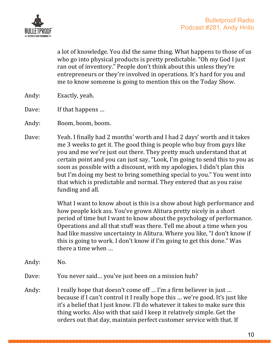

a lot of knowledge. You did the same thing. What happens to those of us who go into physical products is pretty predictable. "Oh my God I just ran out of inventory." People don't think about this unless they're entrepreneurs or they're involved in operations. It's hard for you and me to know someone is going to mention this on the Today Show.

- Andy: Exactly, yeah.
- Dave: If that happens ...
- Andy: Boom, boom, boom.
- Dave: Yeah. I finally had 2 months' worth and I had 2 days' worth and it takes me 3 weeks to get it. The good thing is people who buy from guys like you and me we're just out there. They pretty much understand that at certain point and you can just say, "Look, I'm going to send this to you as soon as possible with a discount, with my apologies. I didn't plan this but I'm doing my best to bring something special to you." You went into that which is predictable and normal. They entered that as you raise funding and all.

What I want to know about is this is a show about high performance and how people kick ass. You've grown Alitura pretty nicely in a short period of time but I want to know about the psychology of performance. Operations and all that stuff was there. Tell me about a time when you had like massive uncertainty in Alitura. Where you like, "I don't know if this is going to work. I don't know if I'm going to get this done." Was there a time when  $\ldots$ 

Andy: No.

Dave: You never said... you've just been on a mission huh?

Andy: I really hope that doesn't come off ... I'm a firm believer in just ... because if I can't control it I really hope this ... we're good. It's just like it's a belief that I just know. I'll do whatever it takes to make sure this thing works. Also with that said I keep it relatively simple. Get the orders out that day, maintain perfect customer service with that. If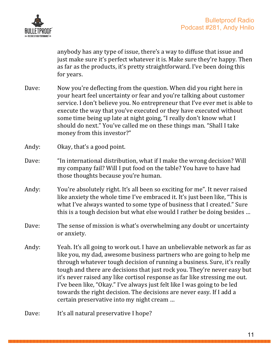

anybody has any type of issue, there's a way to diffuse that issue and just make sure it's perfect whatever it is. Make sure they're happy. Then as far as the products, it's pretty straightforward. I've been doing this for years.

- Dave: Now you're deflecting from the question. When did you right here in your heart feel uncertainty or fear and you're talking about customer service. I don't believe you. No entrepreneur that I've ever met is able to execute the way that you've executed or they have executed without some time being up late at night going, "I really don't know what I should do next." You've called me on these things man. "Shall I take money from this investor?"
- Andy: Okay, that's a good point.
- Dave: "In international distribution, what if I make the wrong decision? Will my company fail? Will I put food on the table? You have to have had those thoughts because you're human.
- Andy: You're absolutely right. It's all been so exciting for me". It never raised like anxiety the whole time I've embraced it. It's just been like, "This is what I've always wanted to some type of business that I created." Sure this is a tough decision but what else would I rather be doing besides ...
- Dave: The sense of mission is what's overwhelming any doubt or uncertainty or anxiety.
- Andy: Yeah. It's all going to work out. I have an unbelievable network as far as like you, my dad, awesome business partners who are going to help me through whatever tough decision of running a business. Sure, it's really tough and there are decisions that just rock you. They're never easy but it's never raised any like cortisol response as far like stressing me out. I've been like, "Okay." I've always just felt like I was going to be led towards the right decision. The decisions are never easy. If I add a certain preservative into my night cream ...

Dave: It's all natural preservative I hope?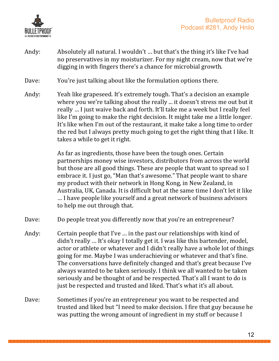

- Andy: Absolutely all natural. I wouldn't ... but that's the thing it's like I've had no preservatives in my moisturizer. For my night cream, now that we're digging in with fingers there's a chance for microbial growth.
- Dave: You're just talking about like the formulation options there.
- Andy: Yeah like grapeseed. It's extremely tough. That's a decision an example where you we're talking about the really ... it doesn't stress me out but it really ... I just waive back and forth. It'll take me a week but I really feel like I'm going to make the right decision. It might take me a little longer. It's like when I'm out of the restaurant, it make take a long time to order the red but I always pretty much going to get the right thing that I like. It takes a while to get it right.

As far as ingredients, those have been the tough ones. Certain partnerships money wise investors, distributors from across the world but those are all good things. These are people that want to spread so I embrace it. I just go, "Man that's awesome." That people want to share my product with their network in Hong Kong, in New Zealand, in Australia, UK, Canada. It is difficult but at the same time I don't let it like ... I have people like yourself and a great network of business advisors to help me out through that.

- Dave: Do people treat you differently now that you're an entrepreneur?
- Andy: Certain people that I've ... in the past our relationships with kind of didn't really ... It's okay I totally get it. I was like this bartender, model, actor or athlete or whatever and I didn't really have a whole lot of things going for me. Maybe I was underachieving or whatever and that's fine. The conversations have definitely changed and that's great because I've always wanted to be taken seriously. I think we all wanted to be taken seriously and be thought of and be respected. That's all I want to do is just be respected and trusted and liked. That's what it's all about.
- Dave: Sometimes if you're an entrepreneur you want to be respected and trusted and liked but "I need to make decision. I fire that guy because he was putting the wrong amount of ingredient in my stuff or because I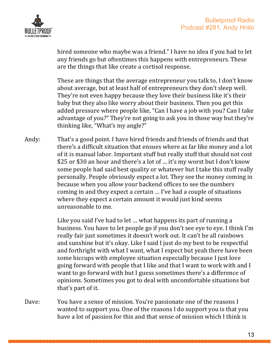

hired someone who maybe was a friend." I have no idea if you had to let any friends go but oftentimes this happens with entrepreneurs. These are the things that like create a cortisol response.

These are things that the average entrepreneur you talk to, I don't know about average, but at least half of entrepreneurs they don't sleep well. They're not even happy because they love their business like it's their baby but they also like worry about their business. Then you get this added pressure where people like, "Can I have a job with you? Can I take advantage of you?" They're not going to ask you in those way but they're thinking like, "What's my angle?"

Andy: That's a good point. I have hired friends and friends of friends and that there's a difficult situation that ensues where as far like money and a lot of it is manual labor. Important stuff but really stuff that should not cost \$25 or \$30 an hour and there's a lot of ... it's my worst but I don't know some people had said best quality or whatever but I take this stuff really personally. People obviously expect a lot. They see the money coming in because when you allow your backend offices to see the numbers coming in and they expect a certain ... I've had a couple of situations where they expect a certain amount it would just kind seems unreasonable to me.

> Like you said I've had to let ... what happens its part of running a business. You have to let people go if you don't see eve to eve. I think I'm really fair just sometimes it doesn't work out. It can't be all rainbows and sunshine but it's okay. Like I said I just do my best to be respectful and forthright with what I want, what I expect but yeah there have been some hiccups with employee situation especially because I just love going forward with people that I like and that I want to work with and I want to go forward with but I guess sometimes there's a difference of opinions. Sometimes you got to deal with uncomfortable situations but that's part of it.

Dave: You have a sense of mission. You're passionate one of the reasons I wanted to support you. One of the reasons I do support you is that you have a lot of passion for this and that sense of mission which I think is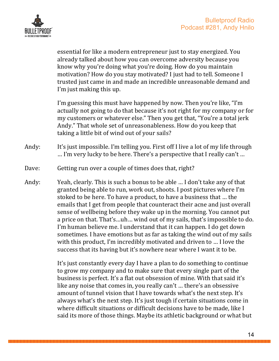



essential for like a modern entrepreneur just to stay energized. You already talked about how you can overcome adversity because you know why you're doing what you're doing. How do you maintain motivation? How do you stay motivated? I just had to tell. Someone I trusted just came in and made an incredible unreasonable demand and I'm just making this up.

I'm guessing this must have happened by now. Then you're like, "I'm actually not going to do that because it's not right for my company or for my customers or whatever else." Then you get that, "You're a total jerk Andy." That whole set of unreasonableness. How do you keep that taking a little bit of wind out of your sails?

- Andy: It's just impossible. I'm telling you. First off I live a lot of my life through ... I'm very lucky to be here. There's a perspective that I really can't ...
- Dave: Getting run over a couple of times does that, right?
- Andy: Yeah, clearly. This is such a bonus to be able ... I don't take any of that granted being able to run, work out, shoots. I post pictures where I'm stoked to be here. To have a product, to have a business that ... the emails that I get from people that counteract their acne and just overall sense of wellbeing before they wake up in the morning. You cannot put a price on that. That's...uh... wind out of my sails, that's impossible to do. I'm human believe me. I understand that it can happen. I do get down sometimes. I have emotions but as far as taking the wind out of my sails with this product, I'm incredibly motivated and driven to ... I love the success that its having but it's nowhere near where I want it to be.

It's just constantly every day I have a plan to do something to continue to grow my company and to make sure that every single part of the business is perfect. It's a flat out obsession of mine. With that said it's like any noise that comes in, you really can't ... there's an obsessive amount of tunnel vision that I have towards what's the next step. It's always what's the next step. It's just tough if certain situations come in where difficult situations or difficult decisions have to be made, like I said its more of those things. Maybe its athletic background or what but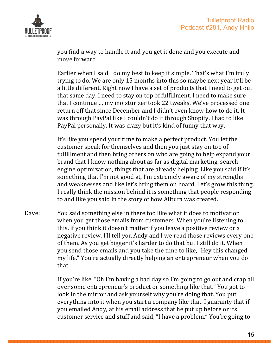

you find a way to handle it and you get it done and you execute and move forward.

Earlier when I said I do my best to keep it simple. That's what I'm truly trying to do. We are only 15 months into this so maybe next year it'll be a little different. Right now I have a set of products that I need to get out that same day. I need to stay on top of fulfillment. I need to make sure that I continue ... my moisturizer took 22 tweaks. We've processed one return off that since December and I didn't even know how to do it. It was through PayPal like I couldn't do it through Shopify. I had to like PayPal personally. It was crazy but it's kind of funny that way.

It's like you spend your time to make a perfect product. You let the customer speak for themselves and then you just stay on top of fulfillment and then bring others on who are going to help expand your brand that I know nothing about as far as digital marketing, search engine optimization, things that are already helping. Like you said if it's something that I'm not good at, I'm extremely aware of my strengths and weaknesses and like let's bring them on board. Let's grow this thing. I really think the mission behind it is something that people responding to and like you said in the story of how Alitura was created.

Dave: You said something else in there too like what it does to motivation when you get those emails from customers. When you're listening to this, if you think it doesn't matter if you leave a positive review or a negative review, I'll tell you Andy and I we read those reviews every one of them. As you get bigger it's harder to do that but I still do it. When you send those emails and you take the time to like, "Hey this changed my life." You're actually directly helping an entrepreneur when you do that.

> If you're like, "Oh I'm having a bad day so I'm going to go out and crap all over some entrepreneur's product or something like that." You got to look in the mirror and ask yourself why you're doing that. You put everything into it when you start a company like that. I guaranty that if you emailed Andy, at his email address that he put up before or its customer service and stuff and said, "I have a problem." You're going to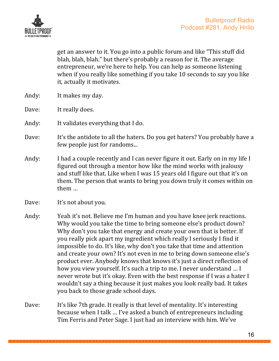

get an answer to it. You go into a public forum and like "This stuff did blah, blah, blah." but there's probably a reason for it. The average entrepreneur, we're here to help. You can help as someone listening when if you really like something if you take 10 seconds to say you like it, actually it motivates.

- Andy: It makes my day.
- Dave: It really does.
- Andy: It validates everything that  $I$  do.
- Dave: It's the antidote to all the haters. Do you get haters? You probably have a few people just for randoms...
- Andy: I had a couple recently and I can never figure it out. Early on in my life I figured out through a mentor how like the mind works with jealousy and stuff like that. Like when I was 15 years old I figure out that it's on them. The person that wants to bring you down truly it comes within on them …
- Dave: It's not about you.
- Andy: Yeah it's not. Believe me I'm human and you have knee jerk reactions. Why would you take the time to bring someone else's product down? Why don't you take that energy and create your own that is better. If you really pick apart my ingredient which really I seriously I find it impossible to do. It's like, why don't you take that time and attention and create your own? It's not even in me to bring down someone else's product ever. Anybody knows that knows it's just a direct reflection of how you view yourself. It's such a trip to me. I never understand ... I never wrote but it's okay. Even with the best response if I was a hater I wouldn't say a thing because it just makes you look really bad. It takes you back to those grade school days.
- Dave: It's like 7th grade. It really is that level of mentality. It's interesting because when I talk ... I've asked a bunch of entrepreneurs including Tim Ferris and Peter Sage. I just had an interview with him. We've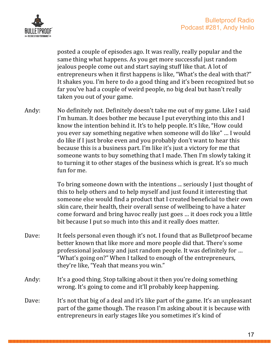

posted a couple of episodes ago. It was really, really popular and the same thing what happens. As you get more successful just random jealous people come out and start saying stuff like that. A lot of entrepreneurs when it first happens is like, "What's the deal with that?" It shakes you. I'm here to do a good thing and it's been recognized but so far you've had a couple of weird people, no big deal but hasn't really taken you out of your game.

Andy: No definitely not. Definitely doesn't take me out of my game. Like I said I'm human. It does bother me because I put everything into this and I know the intention behind it. It's to help people. It's like, "How could you ever say something negative when someone will do like" ... I would do like if I just broke even and you probably don't want to hear this because this is a business part. I'm like it's just a victory for me that someone wants to buy something that I made. Then I'm slowly taking it to turning it to other stages of the business which is great. It's so much fun for me.

> To bring someone down with the intentions ... seriously I just thought of this to help others and to help myself and just found it interesting that someone else would find a product that I created beneficial to their own skin care, their health, their overall sense of wellbeing to have a hater come forward and bring havoc really just goes ... it does rock you a little bit because I put so much into this and it really does matter.

- Dave: It feels personal even though it's not. I found that as Bulletproof became better known that like more and more people did that. There's some professional jealousy and just random people. It was definitely for ... "What's going on?" When I talked to enough of the entrepreneurs, they're like, "Yeah that means you win."
- Andy: It's a good thing. Stop talking about it then you're doing something wrong. It's going to come and it'll probably keep happening.
- Dave: It's not that big of a deal and it's like part of the game. It's an unpleasant part of the game though. The reason I'm asking about it is because with entrepreneurs in early stages like you sometimes it's kind of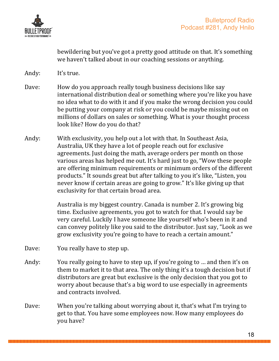

bewildering but you've got a pretty good attitude on that. It's something we haven't talked about in our coaching sessions or anything.

- Andy: It's true.
- Dave: How do you approach really tough business decisions like say international distribution deal or something where you're like you have no idea what to do with it and if you make the wrong decision you could be putting your company at risk or you could be maybe missing out on millions of dollars on sales or something. What is your thought process look like? How do you do that?
- Andy: With exclusivity, you help out a lot with that. In Southeast Asia, Australia, UK they have a lot of people reach out for exclusive agreements. Just doing the math, average orders per month on those various areas has helped me out. It's hard just to go, "Wow these people are offering minimum requirements or minimum orders of the different products." It sounds great but after talking to you it's like, "Listen, you never know if certain areas are going to grow." It's like giving up that exclusivity for that certain broad area.

Australia is my biggest country. Canada is number 2. It's growing big time. Exclusive agreements, you got to watch for that. I would say be very careful. Luckily I have someone like yourself who's been in it and can convey politely like you said to the distributor. Just say, "Look as we grow exclusivity you're going to have to reach a certain amount."

- Dave: You really have to step up.
- Andy: You really going to have to step up, if you're going to ... and then it's on them to market it to that area. The only thing it's a tough decision but if distributors are great but exclusive is the only decision that you got to worry about because that's a big word to use especially in agreements and contracts involved.
- Dave: When you're talking about worrying about it, that's what I'm trying to get to that. You have some employees now. How many employees do you have?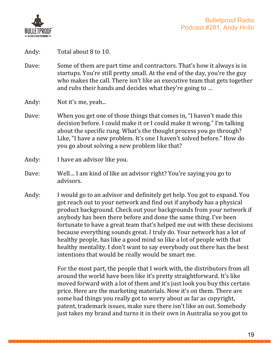

Andy: Total about 8 to 10.

Dave: Some of them are part time and contractors. That's how it always is in startups. You're still pretty small. At the end of the day, you're the guy who makes the call. There isn't like an executive team that gets together and rubs their hands and decides what they're going to ...

Andy: Not it's me, yeah...

- Dave: When you get one of those things that comes in, "I haven't made this decision before. I could make it or I could make it wrong." I'm talking about the specific rung. What's the thought process you go through? Like, "I have a new problem. It's one I haven't solved before." How do you go about solving a new problem like that?
- Andy: I have an advisor like you.
- Dave: Well... I am kind of like an advisor right? You're saying you go to advisors.
- Andy: I would go to an advisor and definitely get help. You got to expand. You got reach out to your network and find out if anybody has a physical product background. Check out your backgrounds from your network if anybody has been there before and done the same thing. I've been fortunate to have a great team that's helped me out with these decisions because everything sounds great. I truly do. Your network has a lot of healthy people, has like a good mind so like a lot of people with that healthy mentality. I don't want to say everybody out there has the best intentions that would be really would be smart me.

For the most part, the people that I work with, the distributors from all around the world have been like it's pretty straightforward. It's like moved forward with a lot of them and it's just look you buy this certain price. Here are the marketing materials. Now it's on them. There are some bad things you really got to worry about as far as copyright, patent, trademark issues, make sure there isn't like an out. Somebody just takes my brand and turns it in their own in Australia so you got to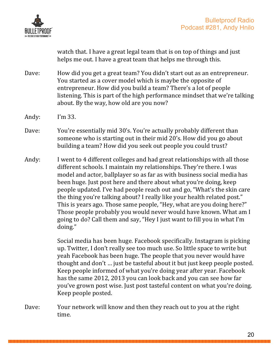

watch that. I have a great legal team that is on top of things and just helps me out. I have a great team that helps me through this.

- Dave: How did you get a great team? You didn't start out as an entrepreneur. You started as a cover model which is maybe the opposite of entrepreneur. How did you build a team? There's a lot of people listening. This is part of the high performance mindset that we're talking about. By the way, how old are you now?
- Andy:  $I'm 33$ .
- Dave: You're essentially mid 30's. You're actually probably different than someone who is starting out in their mid 20's. How did you go about building a team? How did you seek out people you could trust?
- Andy: I went to 4 different colleges and had great relationships with all those different schools. I maintain my relationships. They're there. I was model and actor, ballplayer so as far as with business social media has been huge. Just post here and there about what you're doing, keep people updated. I've had people reach out and go, "What's the skin care the thing you're talking about? I really like your health related post." This is years ago. Those same people, "Hey, what are you doing here?" Those people probably you would never would have known. What am I going to do? Call them and say, "Hey I just want to fill you in what I'm doing."

Social media has been huge. Facebook specifically. Instagram is picking up. Twitter, I don't really see too much use. So little space to write but yeah Facebook has been huge. The people that you never would have thought and don't ... just be tasteful about it but just keep people posted. Keep people informed of what you're doing year after year. Facebook has the same 2012, 2013 you can look back and you can see how far you've grown post wise. Just post tasteful content on what you're doing. Keep people posted.

Dave: Your network will know and then they reach out to you at the right time.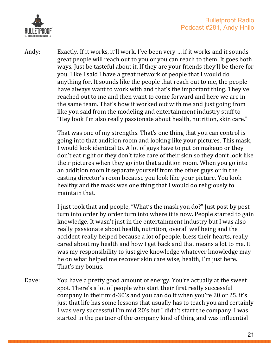



Andy: Exactly. If it works, it'll work. I've been very ... if it works and it sounds great people will reach out to you or you can reach to them. It goes both ways. Just be tasteful about it. If they are your friends they'll be there for you. Like I said I have a great network of people that I would do anything for. It sounds like the people that reach out to me, the people have always want to work with and that's the important thing. They've reached out to me and then want to come forward and here we are in the same team. That's how it worked out with me and just going from like you said from the modeling and entertainment industry stuff to "Hey look I'm also really passionate about health, nutrition, skin care."

> That was one of my strengths. That's one thing that you can control is going into that audition room and looking like your pictures. This mask, I would look identical to. A lot of guys have to put on makeup or they don't eat right or they don't take care of their skin so they don't look like their pictures when they go into that audition room. When you go into an addition room it separate yourself from the other guys or in the casting director's room because you look like your picture. You look healthy and the mask was one thing that I would do religiously to maintain that.

> I just took that and people, "What's the mask you do?" Just post by post turn into order by order turn into where it is now. People started to gain knowledge. It wasn't just in the entertainment industry but I was also really passionate about health, nutrition, overall wellbeing and the accident really helped because a lot of people, bless their hearts, really cared about my health and how I get back and that means a lot to me. It was my responsibility to just give knowledge whatever knowledge may be on what helped me recover skin care wise, health, I'm just here. That's my bonus.

Dave: You have a pretty good amount of energy. You're actually at the sweet spot. There's a lot of people who start their first really successful company in their mid-30's and you can do it when you're 20 or 25. it's just that life has some lessons that usually has to teach you and certainly I was very successful I'm mid 20's but I didn't start the company. I was started in the partner of the company kind of thing and was influential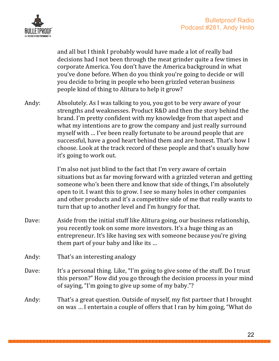

and all but I think I probably would have made a lot of really bad decisions had I not been through the meat grinder quite a few times in corporate America. You don't have the America background in what you've done before. When do you think you're going to decide or will you decide to bring in people who been grizzled veteran business people kind of thing to Alitura to help it grow?

Andy: Absolutely. As I was talking to you, you got to be very aware of your strengths and weaknesses. Product R&D and then the story behind the brand. I'm pretty confident with my knowledge from that aspect and what my intentions are to grow the company and just really surround myself with ... I've been really fortunate to be around people that are successful, have a good heart behind them and are honest. That's how I choose. Look at the track record of these people and that's usually how it's going to work out.

> I'm also not just blind to the fact that I'm very aware of certain situations but as far moving forward with a grizzled veteran and getting someone who's been there and know that side of things, I'm absolutely open to it. I want this to grow. I see so many holes in other companies and other products and it's a competitive side of me that really wants to turn that up to another level and I'm hungry for that.

- Dave: Aside from the initial stuff like Alitura going, our business relationship, you recently took on some more investors. It's a huge thing as an entrepreneur. It's like having sex with someone because you're giving them part of your baby and like its ...
- Andy: That's an interesting analogy
- Dave: It's a personal thing. Like, "I'm going to give some of the stuff. Do I trust this person?" How did you go through the decision process in your mind of saying, "I'm going to give up some of my baby."?
- Andy: That's a great question. Outside of myself, my fist partner that I brought on was ... I entertain a couple of offers that I ran by him going, "What do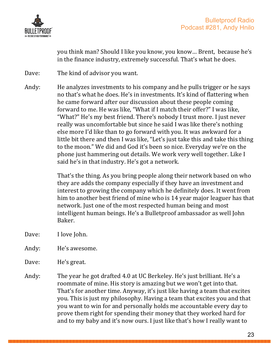

you think man? Should I like you know, you know... Brent, because he's in the finance industry, extremely successful. That's what he does.

Dave: The kind of advisor you want.

Andy: He analyzes investments to his company and he pulls trigger or he says no that's what he does. He's in investments. It's kind of flattering when he came forward after our discussion about these people coming forward to me. He was like, "What if I match their offer?" I was like, "What?" He's my best friend. There's nobody I trust more. I just never really was uncomfortable but since he said I was like there's nothing else more I'd like than to go forward with you. It was awkward for a little bit there and then I was like, "Let's just take this and take this thing to the moon." We did and God it's been so nice. Everyday we're on the phone just hammering out details. We work very well together. Like I said he's in that industry. He's got a network.

> That's the thing. As you bring people along their network based on who they are adds the company especially if they have an investment and interest to growing the company which he definitely does. It went from him to another best friend of mine who is 14 year major leaguer has that network. Just one of the most respected human being and most intelligent human beings. He's a Bulletproof ambassador as well John Baker.

- Dave: I love John.
- Andy: He's awesome.
- Dave: He's great.
- Andy: The year he got drafted 4.0 at UC Berkeley. He's just brilliant. He's a roommate of mine. His story is amazing but we won't get into that. That's for another time. Anyway, it's just like having a team that excites you. This is just my philosophy. Having a team that excites you and that you want to win for and personally holds me accountable every day to prove them right for spending their money that they worked hard for and to my baby and it's now ours. I just like that's how I really want to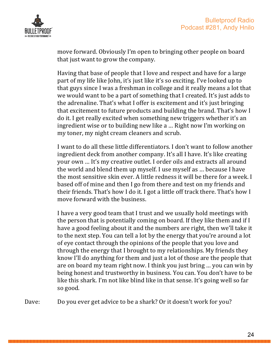

move forward. Obviously I'm open to bringing other people on board that just want to grow the company.

Having that base of people that I love and respect and have for a large part of my life like John, it's just like it's so exciting. I've looked up to that guys since I was a freshman in college and it really means a lot that we would want to be a part of something that I created. It's just adds to the adrenaline. That's what I offer is excitement and it's just bringing that excitement to future products and building the brand. That's how I do it. I get really excited when something new triggers whether it's an ingredient wise or to building new like a ... Right now I'm working on my toner, my night cream cleaners and scrub.

I want to do all these little differentiators. I don't want to follow another ingredient deck from another company. It's all I have. It's like creating your own ... It's my creative outlet. I order oils and extracts all around the world and blend them up myself. I use myself as ... because I have the most sensitive skin ever. A little redness it will be there for a week. I based off of mine and then I go from there and test on my friends and their friends. That's how I do it. I got a little off track there. That's how I move forward with the business.

I have a very good team that I trust and we usually hold meetings with the person that is potentially coming on board. If they like them and if I have a good feeling about it and the numbers are right, then we'll take it to the next step. You can tell a lot by the energy that you're around a lot of eye contact through the opinions of the people that you love and through the energy that I brought to my relationships. My friends they know I'll do anything for them and just a lot of those are the people that are on board my team right now. I think you just bring ... you can win by being honest and trustworthy in business. You can. You don't have to be like this shark. I'm not like blind like in that sense. It's going well so far so good.

Dave: Do you ever get advice to be a shark? Or it doesn't work for you?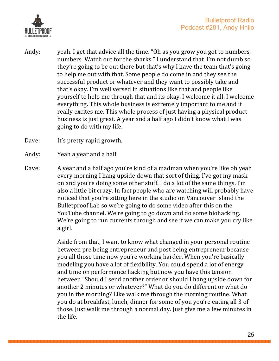

Andy: yeah. I get that advice all the time. "Oh as you grow you got to numbers, numbers. Watch out for the sharks." I understand that. I'm not dumb so they're going to be out there but that's why I have the team that's going to help me out with that. Some people do come in and they see the successful product or whatever and they want to possibly take and that's okay. I'm well versed in situations like that and people like yourself to help me through that and its okay. I welcome it all. I welcome everything. This whole business is extremely important to me and it really excites me. This whole process of just having a physical product business is just great. A year and a half ago I didn't know what I was going to do with my life.

Dave: It's pretty rapid growth.

Andy: Yeah a year and a half.

Dave: A year and a half ago you're kind of a madman when you're like oh yeah every morning I hang upside down that sort of thing. I've got my mask on and you're doing some other stuff. I do a lot of the same things. I'm also a little bit crazy. In fact people who are watching will probably have noticed that you're sitting here in the studio on Vancouver Island the Bulletproof Lab so we're going to do some video after this on the YouTube channel. We're going to go down and do some biohacking. We're going to run currents through and see if we can make you cry like a girl.

> Aside from that, I want to know what changed in your personal routine between pre being entrepreneur and post being entrepreneur because you all those time now you're working harder. When you're basically modeling you have a lot of flexibility. You could spend a lot of energy and time on performance hacking but now you have this tension between "Should I send another order or should I hang upside down for another 2 minutes or whatever?" What do you do different or what do you in the morning? Like walk me through the morning routine. What you do at breakfast, lunch, dinner for some of you you're eating all 3 of those. Just walk me through a normal day. Just give me a few minutes in the life.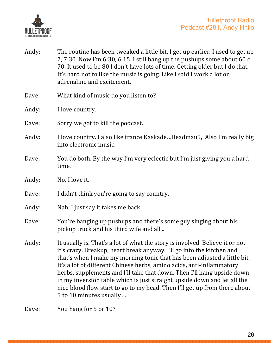

| Andy: | The routine has been tweaked a little bit. I get up earlier. I used to get up<br>7, 7:30. Now I'm 6:30, 6:15. I still bang up the pushups some about 60 o<br>70. It used to be 80 I don't have lots of time. Getting older but I do that.<br>It's hard not to like the music is going. Like I said I work a lot on<br>adrenaline and excitement.                                                                                                                                                                                                                         |
|-------|--------------------------------------------------------------------------------------------------------------------------------------------------------------------------------------------------------------------------------------------------------------------------------------------------------------------------------------------------------------------------------------------------------------------------------------------------------------------------------------------------------------------------------------------------------------------------|
| Dave: | What kind of music do you listen to?                                                                                                                                                                                                                                                                                                                                                                                                                                                                                                                                     |
| Andy: | I love country.                                                                                                                                                                                                                                                                                                                                                                                                                                                                                                                                                          |
| Dave: | Sorry we got to kill the podcast.                                                                                                                                                                                                                                                                                                                                                                                                                                                                                                                                        |
| Andy: | I love country. I also like trance KaskadeDeadmau5, Also I'm really big<br>into electronic music.                                                                                                                                                                                                                                                                                                                                                                                                                                                                        |
| Dave: | You do both. By the way I'm very eclectic but I'm just giving you a hard<br>time.                                                                                                                                                                                                                                                                                                                                                                                                                                                                                        |
| Andy: | No, I love it.                                                                                                                                                                                                                                                                                                                                                                                                                                                                                                                                                           |
| Dave: | I didn't think you're going to say country.                                                                                                                                                                                                                                                                                                                                                                                                                                                                                                                              |
| Andy: | Nah, I just say it takes me back                                                                                                                                                                                                                                                                                                                                                                                                                                                                                                                                         |
| Dave: | You're banging up pushups and there's some guy singing about his<br>pickup truck and his third wife and all                                                                                                                                                                                                                                                                                                                                                                                                                                                              |
| Andy: | It usually is. That's a lot of what the story is involved. Believe it or not<br>it's crazy. Breakup, heart break anyway. I'll go into the kitchen and<br>that's when I make my morning tonic that has been adjusted a little bit.<br>It's a lot of different Chinese herbs, amino acids, anti-inflammatory<br>herbs, supplements and I'll take that down. Then I'll hang upside down<br>in my inversion table which is just straight upside down and let all the<br>nice blood flow start to go to my head. Then I'll get up from there about<br>5 to 10 minutes usually |
| Dave: | You hang for 5 or 10?                                                                                                                                                                                                                                                                                                                                                                                                                                                                                                                                                    |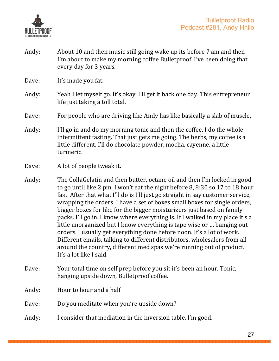

Andy: About 10 and then music still going wake up its before 7 am and then I'm about to make my morning coffee Bulletproof. I've been doing that every day for 3 years.

Dave: It's made you fat.

- Andy: Yeah I let myself go. It's okay. I'll get it back one day. This entrepreneur life just taking a toll total.
- Dave: For people who are driving like Andy has like basically a slab of muscle.
- Andy: I'll go in and do my morning tonic and then the coffee. I do the whole intermittent fasting. That just gets me going. The herbs, my coffee is a little different. I'll do chocolate powder, mocha, cayenne, a little turmeric.

- Andy: The CollaGelatin and then butter, octane oil and then I'm locked in good to go until like 2 pm. I won't eat the night before 8, 8:30 so 17 to 18 hour fast. After that what I'll do is I'll just go straight in say customer service, wrapping the orders. I have a set of boxes small boxes for single orders, bigger boxes for like for the bigger moisturizers just based on family packs. I'll go in. I know where everything is. If I walked in my place it's a little unorganized but I know everything is tape wise or ... banging out orders. I usually get everything done before noon. It's a lot of work. Different emails, talking to different distributors, wholesalers from all around the country, different med spas we're running out of product. It's a lot like I said.
- Dave: Your total time on self prep before you sit it's been an hour. Tonic, hanging upside down, Bulletproof coffee.
- Andy: Hour to hour and a half
- Dave: Do you meditate when you're upside down?
- Andy: I consider that mediation in the inversion table. I'm good.

Dave: A lot of people tweak it.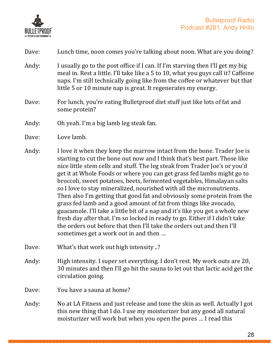

| Dave: | Lunch time, noon comes you're talking about noon. What are you doing? |  |
|-------|-----------------------------------------------------------------------|--|
|       |                                                                       |  |

- Andy: I usually go to the post office if I can. If I'm starving then I'll get my big meal in. Rest a little. I'll take like a 5 to 10, what you guys call it? Caffeine naps. I'm still technically going like from the coffee or whatever but that little 5 or 10 minute nap is great. It regenerates my energy.
- Dave: For lunch, you're eating Bulletproof diet stuff just like lots of fat and some protein?
- Andy: Oh yeah. I'm a big lamb leg steak fan.
- Dave: Love lamb.
- Andy: I love it when they keep the marrow intact from the bone. Trader Joe is starting to cut the bone out now and I think that's best part. Those like nice little stem cells and stuff. The leg steak from Trader Joe's or you'd get it at Whole Foods or where you can get grass fed lambs might go to broccoli, sweet potatoes, beets, fermented vegetables, Himalayan salts so I love to stay mineralized, nourished with all the micronutrients. Then also I'm getting that good fat and obviously some protein from the grass fed lamb and a good amount of fat from things like avocado, guacamole. I'll take a little bit of a nap and it's like you get a whole new fresh day after that. I'm so locked in ready to go. Either if I didn't take the orders out before that then I'll take the orders out and then I'll sometimes get a work out in and then ...
- Dave: What's that work out high intensity ..?
- Andy: High intensity. I super set everything. I don't rest. My work outs are 20, 30 minutes and then I'll go hit the sauna to let out that lactic acid get the circulation going.
- Dave: You have a sauna at home?
- Andy: No at LA Fitness and just release and tone the skin as well. Actually I got this new thing that I do. I use my moisturizer but any good all natural moisturizer will work but when you open the pores ... I read this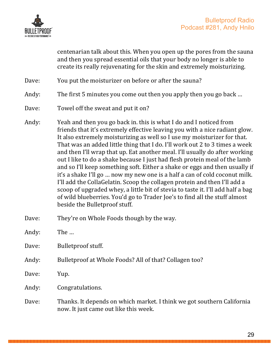

centenarian talk about this. When you open up the pores from the sauna and then you spread essential oils that your body no longer is able to create its really rejuvenating for the skin and extremely moisturizing.

- Dave: You put the moisturizer on before or after the sauna?
- Andy: The first 5 minutes you come out then you apply then you go back ...
- Dave: Towel off the sweat and put it on?
- Andy: Yeah and then you go back in. this is what I do and I noticed from friends that it's extremely effective leaving you with a nice radiant glow. It also extremely moisturizing as well so I use my moisturizer for that. That was an added little thing that I do. I'll work out 2 to 3 times a week and then I'll wrap that up. Eat another meal. I'll usually do after working out I like to do a shake because I just had flesh protein meal of the lamb and so I'll keep something soft. Either a shake or eggs and then usually if it's a shake I'll go ... now my new one is a half a can of cold coconut milk. I'll add the CollaGelatin. Scoop the collagen protein and then I'll add a scoop of upgraded whey, a little bit of stevia to taste it. I'll add half a bag of wild blueberries. You'd go to Trader Joe's to find all the stuff almost beside the Bulletproof stuff.
- Dave: They're on Whole Foods though by the way.
- Andy: The ...
- Dave: Bulletproof stuff.
- Andy: Bulletproof at Whole Foods? All of that? Collagen too?
- Dave: Yup.
- Andy: Congratulations.
- Dave: Thanks. It depends on which market. I think we got southern California now. It just came out like this week.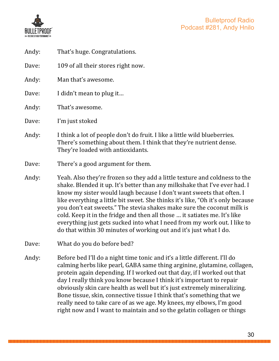

| Andy: | That's huge. Congratulations.                                                                                                                                                                                                                                                                                                                                                                                                                                                                                                                                                                                               |  |
|-------|-----------------------------------------------------------------------------------------------------------------------------------------------------------------------------------------------------------------------------------------------------------------------------------------------------------------------------------------------------------------------------------------------------------------------------------------------------------------------------------------------------------------------------------------------------------------------------------------------------------------------------|--|
| Dave: | 109 of all their stores right now.                                                                                                                                                                                                                                                                                                                                                                                                                                                                                                                                                                                          |  |
| Andy: | Man that's awesome.                                                                                                                                                                                                                                                                                                                                                                                                                                                                                                                                                                                                         |  |
| Dave: | I didn't mean to plug it                                                                                                                                                                                                                                                                                                                                                                                                                                                                                                                                                                                                    |  |
| Andy: | That's awesome.                                                                                                                                                                                                                                                                                                                                                                                                                                                                                                                                                                                                             |  |
| Dave: | I'm just stoked                                                                                                                                                                                                                                                                                                                                                                                                                                                                                                                                                                                                             |  |
| Andy: | I think a lot of people don't do fruit. I like a little wild blueberries.<br>There's something about them. I think that they're nutrient dense.<br>They're loaded with antioxidants.                                                                                                                                                                                                                                                                                                                                                                                                                                        |  |
| Dave: | There's a good argument for them.                                                                                                                                                                                                                                                                                                                                                                                                                                                                                                                                                                                           |  |
| Andy: | Yeah. Also they're frozen so they add a little texture and coldness to the<br>shake. Blended it up. It's better than any milkshake that I've ever had. I<br>know my sister would laugh because I don't want sweets that often. I<br>like everything a little bit sweet. She thinks it's like, "Oh it's only because<br>you don't eat sweets." The stevia shakes make sure the coconut milk is<br>cold. Keep it in the fridge and then all those  it satiates me. It's like<br>everything just gets sucked into what I need from my work out. I like to<br>do that within 30 minutes of working out and it's just what I do. |  |
| Dave: | What do you do before bed?                                                                                                                                                                                                                                                                                                                                                                                                                                                                                                                                                                                                  |  |
| Andy: | Before bed I'll do a night time tonic and it's a little different. I'll do<br>calming herbs like pearl, GABA same thing arginine, glutamine, collagen,<br>protein again depending. If I worked out that day, if I worked out that<br>day I really think you know because I think it's important to repair<br>obviously skin care health as well but it's just extremely mineralizing.<br>Bone tissue, skin, connective tissue I think that's something that we<br>really need to take care of as we age. My knees, my elbows, I'm good<br>right now and I want to maintain and so the gelatin collagen or things            |  |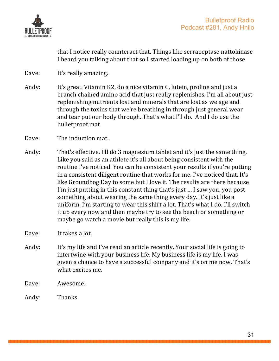

that I notice really counteract that. Things like serrapeptase nattokinase I heard you talking about that so I started loading up on both of those.

- Dave: It's really amazing.
- Andy: It's great. Vitamin K2, do a nice vitamin C, lutein, proline and just a branch chained amino acid that just really replenishes. I'm all about just replenishing nutrients lost and minerals that are lost as we age and through the toxins that we're breathing in through just general wear and tear put our body through. That's what I'll do. And I do use the bulletproof mat.
- Dave: The induction mat.
- Andy: That's effective. I'll do 3 magnesium tablet and it's just the same thing. Like you said as an athlete it's all about being consistent with the routine I've noticed. You can be consistent your results if you're putting in a consistent diligent routine that works for me. I've noticed that. It's like Groundhog Day to some but I love it. The results are there because I'm just putting in this constant thing that's just  $\ldots$  I saw you, you post something about wearing the same thing every day. It's just like a uniform. I'm starting to wear this shirt a lot. That's what I do. I'll switch it up every now and then maybe try to see the beach or something or maybe go watch a movie but really this is my life.
- Dave: It takes a lot.
- Andy: It's my life and I've read an article recently. Your social life is going to intertwine with your business life. My business life is my life. I was given a chance to have a successful company and it's on me now. That's what excites me.
- Dave: Awesome.
- Andy: Thanks.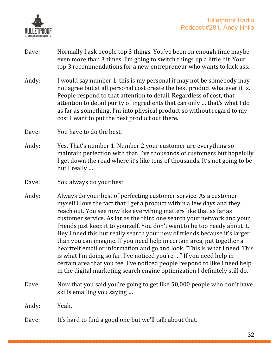

- Dave: Normally I ask people top 3 things. You've been on enough time maybe even more than 3 times. I'm going to switch things up a little bit. Your top 3 recommendations for a new entrepreneur who wants to kick ass.
- Andy: I would say number 1, this is my personal it may not be somebody may not agree but at all personal cost create the best product whatever it is. People respond to that attention to detail. Regardless of cost, that attention to detail purity of ingredients that can only ... that's what I do as far as something. I'm into physical product so without regard to my cost I want to put the best product out there.
- Dave: You have to do the best.
- Andy: Yes. That's number 1. Number 2 your customer are everything so maintain perfection with that. I've thousands of customers but hopefully I get down the road where it's like tens of thousands. It's not going to be but I really ...
- Dave: You always do your best.
- Andy: Always do your best of perfecting customer service. As a customer myself I love the fact that I get a product within a few days and they reach out. You see now like everything matters like that as far as customer service. As far as the third one search your network and your friends just keep it to yourself. You don't want to be too needy about it. Hey I need this but really search your new of friends because it's larger than you can imagine. If you need help in certain area, put together a heartfelt email or information and go and look. "This is what I need. This is what I'm doing so far. I've noticed you're ..." If you need help in certain area that you feel I've noticed people respond to like I need help in the digital marketing search engine optimization I definitely still do.
- Dave: Now that you said you're going to get like 50,000 people who don't have skills emailing you saying ...

Andy: Yeah.

Dave: It's hard to find a good one but we'll talk about that.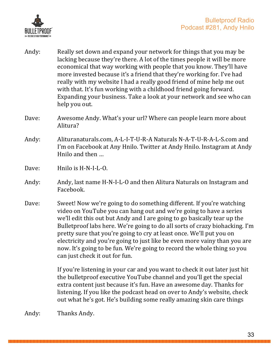

- Andy: Really set down and expand your network for things that you may be lacking because they're there. A lot of the times people it will be more economical that way working with people that you know. They'll have more invested because it's a friend that they're working for. I've had really with my website I had a really good friend of mine help me out with that. It's fun working with a childhood friend going forward. Expanding your business. Take a look at your network and see who can help you out.
- Dave: Awesome Andy. What's your url? Where can people learn more about Alitura?
- Andy: Alituranaturals.com, A-L-I-T-U-R-A Naturals N-A-T-U-R-A-L-S.com and I'm on Facebook at Any Hnilo. Twitter at Andy Hnilo. Instagram at Andy Hnilo and then ...
- Dave: Hnilo is H-N-I-L-O.
- Andy: Andy, last name H-N-I-L-O and then Alitura Naturals on Instagram and Facebook.
- Dave: Sweet! Now we're going to do something different. If you're watching video on YouTube you can hang out and we're going to have a series we'll edit this out but Andy and I are going to go basically tear up the Bulletproof labs here. We're going to do all sorts of crazy biohacking. I'm pretty sure that you're going to cry at least once. We'll put you on electricity and you're going to just like be even more vainy than you are now. It's going to be fun. We're going to record the whole thing so you can just check it out for fun.

If you're listening in your car and you want to check it out later just hit the bulletproof executive YouTube channel and you'll get the special extra content just because it's fun. Have an awesome day. Thanks for listening. If you like the podcast head on over to Andy's website, check out what he's got. He's building some really amazing skin care things

Andy: Thanks Andy.